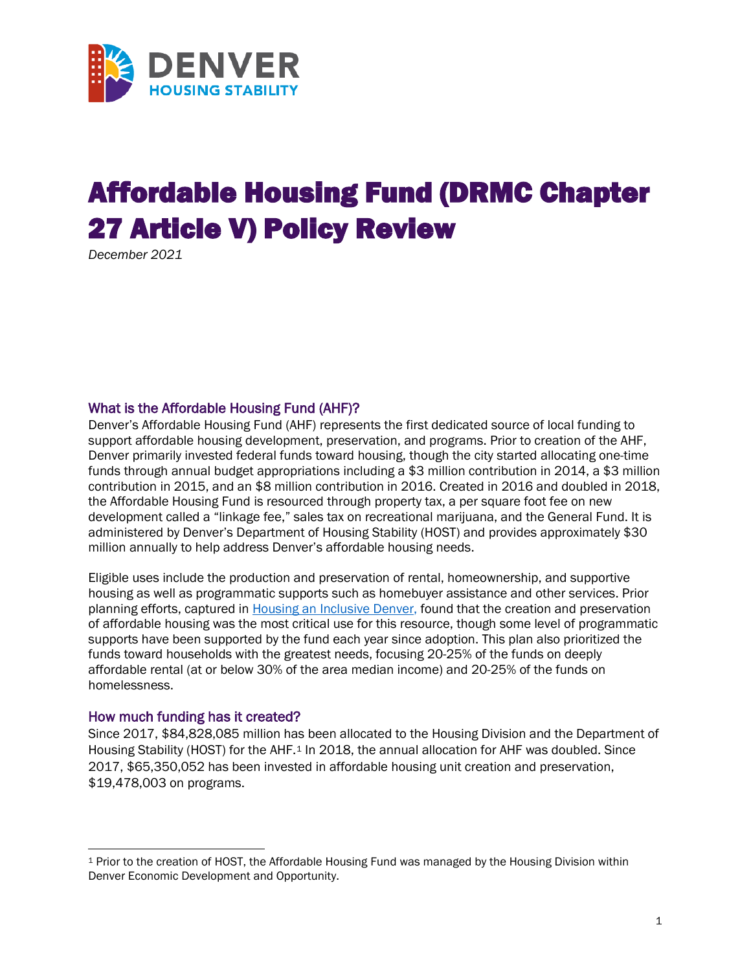

# Affordable Housing Fund (DRMC Chapter 27 Article V) Policy Review

*December 2021*

#### What is the Affordable Housing Fund (AHF)?

Denver's Affordable Housing Fund (AHF) represents the first dedicated source of local funding to support affordable housing development, preservation, and programs. Prior to creation of the AHF, Denver primarily invested federal funds toward housing, though the city started allocating one-time funds through annual budget appropriations including a \$3 million contribution in 2014, a \$3 million contribution in 2015, and an \$8 million contribution in 2016. Created in 2016 and doubled in 2018, the Affordable Housing Fund is resourced through property tax, a per square foot fee on new development called a "linkage fee," sales tax on recreational marijuana, and the General Fund. It is administered by Denver's Department of Housing Stability (HOST) and provides approximately \$30 million annually to help address Denver's affordable housing needs.

Eligible uses include the production and preservation of rental, homeownership, and supportive housing as well as programmatic supports such as homebuyer assistance and other services. Prior planning efforts, captured in [Housing an Inclusive Denver,](https://www.denvergov.org/Government/Agencies-Departments-Offices/Department-of-Housing-Stability/About-Housing-Stability/Plans-and-Reports) found that the creation and preservation of affordable housing was the most critical use for this resource, though some level of programmatic supports have been supported by the fund each year since adoption. This plan also prioritized the funds toward households with the greatest needs, focusing 20-25% of the funds on deeply affordable rental (at or below 30% of the area median income) and 20-25% of the funds on homelessness.

#### How much funding has it created?

Since 2017, \$84,828,085 million has been allocated to the Housing Division and the Department of Housing Stability (HOST) for the AHF.<sup>[1](#page-0-0)</sup> In 2018, the annual allocation for AHF was doubled. Since 2017, \$65,350,052 has been invested in affordable housing unit creation and preservation, \$19,478,003 on programs.

<span id="page-0-0"></span><sup>1</sup> Prior to the creation of HOST, the Affordable Housing Fund was managed by the Housing Division within Denver Economic Development and Opportunity.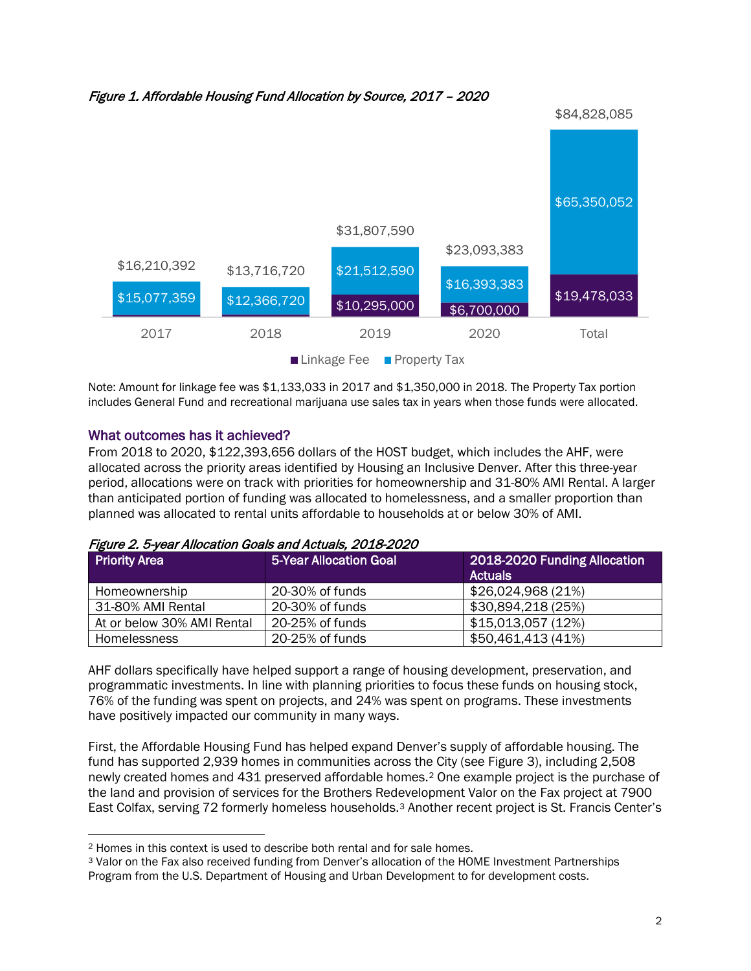



Note: Amount for linkage fee was \$1,133,033 in 2017 and \$1,350,000 in 2018. The Property Tax portion includes General Fund and recreational marijuana use sales tax in years when those funds were allocated.

### What outcomes has it achieved?

From 2018 to 2020, \$122,393,656 dollars of the HOST budget, which includes the AHF, were allocated across the priority areas identified by Housing an Inclusive Denver. After this three-year period, allocations were on track with priorities for homeownership and 31-80% AMI Rental. A larger than anticipated portion of funding was allocated to homelessness, and a smaller proportion than planned was allocated to rental units affordable to households at or below 30% of AMI.

| <b>Priority Area</b>       | 5-Year Allocation Goal | 2018-2020 Funding Allocation<br><b>Actuals</b> |
|----------------------------|------------------------|------------------------------------------------|
| Homeownership              | 20-30% of funds        | \$26,024,968 (21%)                             |
| 31-80% AMI Rental          | 20-30% of funds        | \$30,894,218 (25%)                             |
| At or below 30% AMI Rental | 20-25% of funds        | \$15,013,057 (12%)                             |
| <b>Homelessness</b>        | 20-25% of funds        | \$50,461,413 (41%)                             |

Figure 2. 5-year Allocation Goals and Actuals, 2018-2020

AHF dollars specifically have helped support a range of housing development, preservation, and programmatic investments. In line with planning priorities to focus these funds on housing stock, 76% of the funding was spent on projects, and 24% was spent on programs. These investments have positively impacted our community in many ways.

First, the Affordable Housing Fund has helped expand Denver's supply of affordable housing. The fund has supported 2,939 homes in communities across the City (see Figure 3), including 2,508 newly created homes and 431 preserved affordable homes.[2](#page-1-0) One example project is the purchase of the land and provision of services for the Brothers Redevelopment Valor on the Fax project at 7900 East Colfax, serving 72 formerly homeless households.[3](#page-1-1) Another recent project is St. Francis Center's

<span id="page-1-0"></span><sup>2</sup> Homes in this context is used to describe both rental and for sale homes.

<span id="page-1-1"></span><sup>3</sup> Valor on the Fax also received funding from Denver's allocation of the HOME Investment Partnerships Program from the U.S. Department of Housing and Urban Development to for development costs.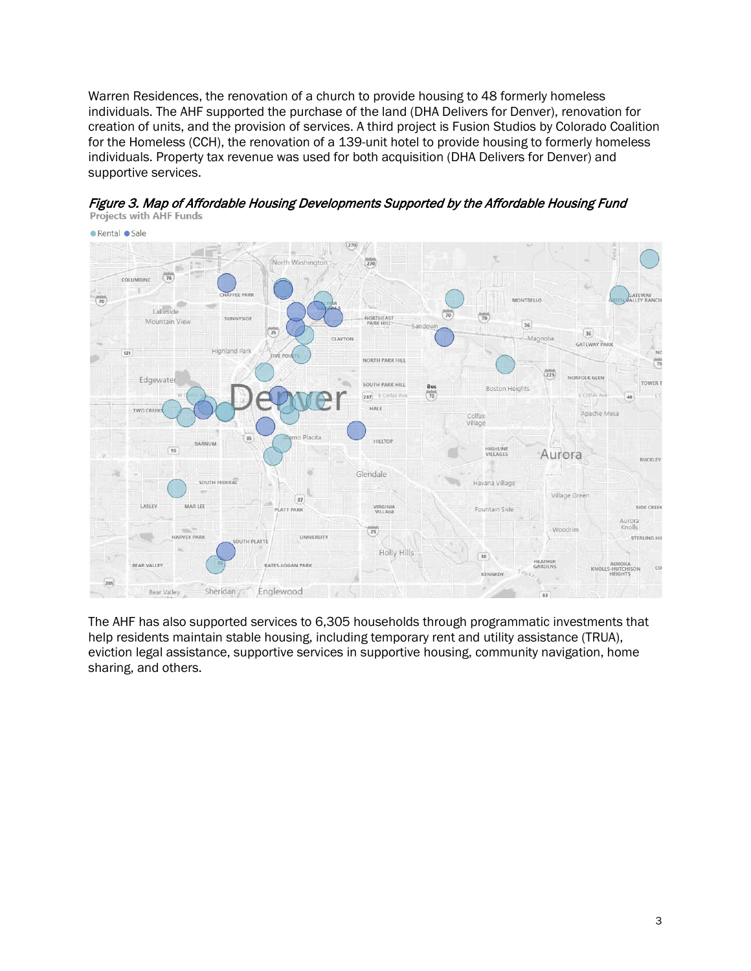Warren Residences, the renovation of a church to provide housing to 48 formerly homeless individuals. The AHF supported the purchase of the land (DHA Delivers for Denver), renovation for creation of units, and the provision of services. A third project is Fusion Studios by Colorado Coalition for the Homeless (CCH), the renovation of a 139-unit hotel to provide housing to formerly homeless individuals. Property tax revenue was used for both acquisition (DHA Delivers for Denver) and supportive services.



Figure 3. Map of Affordable Housing Developments Supported by the Affordable Housing Fund<br>Projects with AHF Funds

The AHF has also supported services to 6,305 households through programmatic investments that help residents maintain stable housing, including temporary rent and utility assistance (TRUA), eviction legal assistance, supportive services in supportive housing, community navigation, home sharing, and others.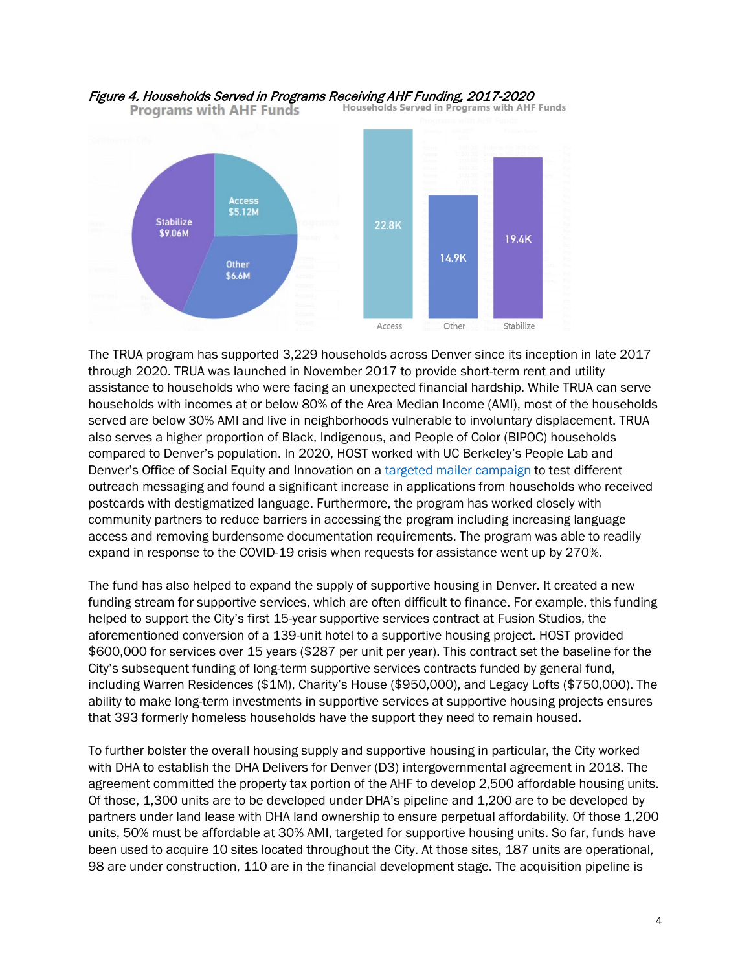

# Figure 4. Households Served in Programs Receiving AHF Funding, 2017-2020<br>**Programs with AHF Funds** Households Served in Programs with AHF Funds

The TRUA program has supported 3,229 households across Denver since its inception in late 2017 through 2020. TRUA was launched in November 2017 to provide short-term rent and utility assistance to households who were facing an unexpected financial hardship. While TRUA can serve households with incomes at or below 80% of the Area Median Income (AMI), most of the households served are below 30% AMI and live in neighborhoods vulnerable to involuntary displacement. TRUA also serves a higher proportion of Black, Indigenous, and People of Color (BIPOC) households compared to Denver's population. In 2020, HOST worked with UC Berkeley's People Lab and Denver's Office of Social Equity and Innovation on a [targeted mailer campaign](https://peoplelab.berkeley.edu/wp-content/uploads/2021/03/Rental-Assistance-Policy-Brief-7_22_21.pdf) to test different outreach messaging and found a significant increase in applications from households who received postcards with destigmatized language. Furthermore, the program has worked closely with community partners to reduce barriers in accessing the program including increasing language access and removing burdensome documentation requirements. The program was able to readily expand in response to the COVID-19 crisis when requests for assistance went up by 270%.

The fund has also helped to expand the supply of supportive housing in Denver. It created a new funding stream for supportive services, which are often difficult to finance. For example, this funding helped to support the City's first 15-year supportive services contract at Fusion Studios, the aforementioned conversion of a 139-unit hotel to a supportive housing project. HOST provided \$600,000 for services over 15 years (\$287 per unit per year). This contract set the baseline for the City's subsequent funding of long-term supportive services contracts funded by general fund, including Warren Residences (\$1M), Charity's House (\$950,000), and Legacy Lofts (\$750,000). The ability to make long-term investments in supportive services at supportive housing projects ensures that 393 formerly homeless households have the support they need to remain housed.

To further bolster the overall housing supply and supportive housing in particular, the City worked with DHA to establish the DHA Delivers for Denver (D3) intergovernmental agreement in 2018. The agreement committed the property tax portion of the AHF to develop 2,500 affordable housing units. Of those, 1,300 units are to be developed under DHA's pipeline and 1,200 are to be developed by partners under land lease with DHA land ownership to ensure perpetual affordability. Of those 1,200 units, 50% must be affordable at 30% AMI, targeted for supportive housing units. So far, funds have been used to acquire 10 sites located throughout the City. At those sites, 187 units are operational, 98 are under construction, 110 are in the financial development stage. The acquisition pipeline is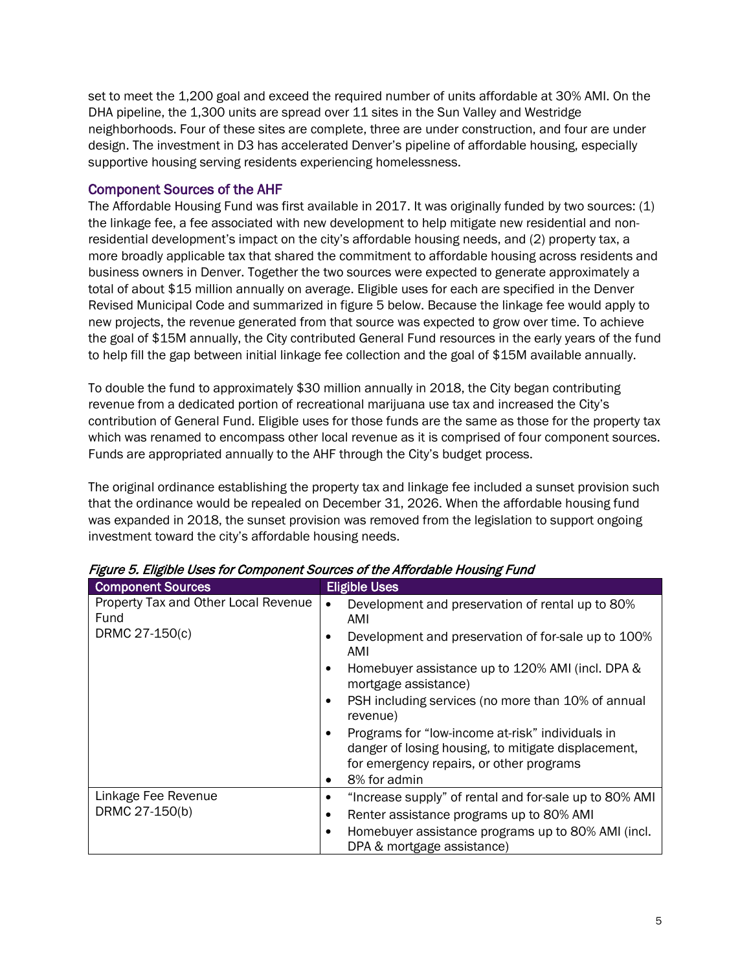set to meet the 1,200 goal and exceed the required number of units affordable at 30% AMI. On the DHA pipeline, the 1,300 units are spread over 11 sites in the Sun Valley and Westridge neighborhoods. Four of these sites are complete, three are under construction, and four are under design. The investment in D3 has accelerated Denver's pipeline of affordable housing, especially supportive housing serving residents experiencing homelessness.

#### Component Sources of the AHF

The Affordable Housing Fund was first available in 2017. It was originally funded by two sources: (1) the linkage fee, a fee associated with new development to help mitigate new residential and nonresidential development's impact on the city's affordable housing needs, and (2) property tax, a more broadly applicable tax that shared the commitment to affordable housing across residents and business owners in Denver. Together the two sources were expected to generate approximately a total of about \$15 million annually on average. Eligible uses for each are specified in the Denver Revised Municipal Code and summarized in figure 5 below. Because the linkage fee would apply to new projects, the revenue generated from that source was expected to grow over time. To achieve the goal of \$15M annually, the City contributed General Fund resources in the early years of the fund to help fill the gap between initial linkage fee collection and the goal of \$15M available annually.

To double the fund to approximately \$30 million annually in 2018, the City began contributing revenue from a dedicated portion of recreational marijuana use tax and increased the City's contribution of General Fund. Eligible uses for those funds are the same as those for the property tax which was renamed to encompass other local revenue as it is comprised of four component sources. Funds are appropriated annually to the AHF through the City's budget process.

The original ordinance establishing the property tax and linkage fee included a sunset provision such that the ordinance would be repealed on December 31, 2026. When the affordable housing fund was expanded in 2018, the sunset provision was removed from the legislation to support ongoing investment toward the city's affordable housing needs.

| <b>Component Sources</b>                                       | <b>Eligible Uses</b>                                                                                                                                                                                                                                                                                                                                                                                                                                                                             |
|----------------------------------------------------------------|--------------------------------------------------------------------------------------------------------------------------------------------------------------------------------------------------------------------------------------------------------------------------------------------------------------------------------------------------------------------------------------------------------------------------------------------------------------------------------------------------|
| Property Tax and Other Local Revenue<br>Fund<br>DRMC 27-150(c) | Development and preservation of rental up to 80%<br>$\bullet$<br>AMI<br>Development and preservation of for-sale up to 100%<br>٠<br>AMI<br>Homebuyer assistance up to 120% AMI (incl. DPA &<br>٠<br>mortgage assistance)<br>PSH including services (no more than 10% of annual<br>٠<br>revenue)<br>Programs for "low-income at-risk" individuals in<br>$\bullet$<br>danger of losing housing, to mitigate displacement,<br>for emergency repairs, or other programs<br>8% for admin<br>$\bullet$ |
| Linkage Fee Revenue<br>DRMC 27-150(b)                          | "Increase supply" of rental and for-sale up to 80% AMI<br>Renter assistance programs up to 80% AMI<br>٠<br>Homebuyer assistance programs up to 80% AMI (incl.<br>$\bullet$<br>DPA & mortgage assistance)                                                                                                                                                                                                                                                                                         |

Figure 5. Eligible Uses for Component Sources of the Affordable Housing Fund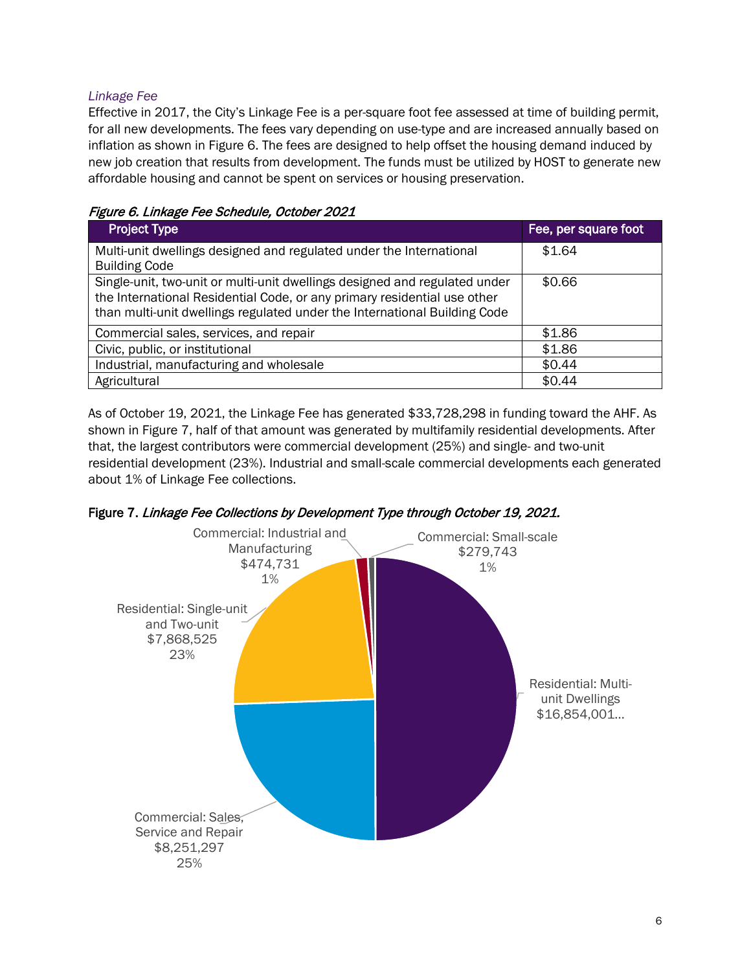### *Linkage Fee*

Effective in 2017, the City's Linkage Fee is a per-square foot fee assessed at time of building permit, for all new developments. The fees vary depending on use-type and are increased annually based on inflation as shown in Figure 6. The fees are designed to help offset the housing demand induced by new job creation that results from development. The funds must be utilized by HOST to generate new affordable housing and cannot be spent on services or housing preservation.

|  | Figure 6. Linkage Fee Schedule, October 2021 |  |
|--|----------------------------------------------|--|
|  |                                              |  |

| <b>Project Type</b>                                                                                                                                                                                                                 | Fee, per square foot |
|-------------------------------------------------------------------------------------------------------------------------------------------------------------------------------------------------------------------------------------|----------------------|
| Multi-unit dwellings designed and regulated under the International<br><b>Building Code</b>                                                                                                                                         | \$1.64               |
| Single-unit, two-unit or multi-unit dwellings designed and regulated under<br>the International Residential Code, or any primary residential use other<br>than multi-unit dwellings regulated under the International Building Code | \$0.66               |
| Commercial sales, services, and repair                                                                                                                                                                                              | \$1.86               |
| Civic, public, or institutional                                                                                                                                                                                                     | \$1.86               |
| Industrial, manufacturing and wholesale                                                                                                                                                                                             | \$0.44               |
| Agricultural                                                                                                                                                                                                                        | \$0.44               |

As of October 19, 2021, the Linkage Fee has generated \$33,728,298 in funding toward the AHF. As shown in Figure 7, half of that amount was generated by multifamily residential developments. After that, the largest contributors were commercial development (25%) and single- and two-unit residential development (23%). Industrial and small-scale commercial developments each generated about 1% of Linkage Fee collections.



Figure 7. Linkage Fee Collections by Development Type through October 19, 2021.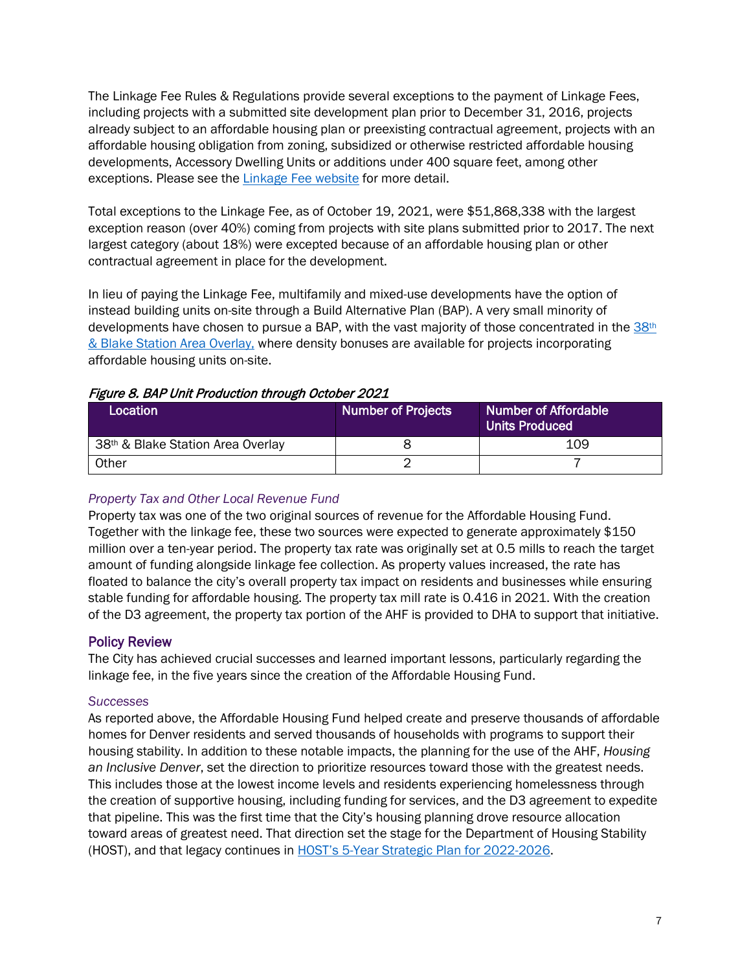The Linkage Fee Rules & Regulations provide several exceptions to the payment of Linkage Fees, including projects with a submitted site development plan prior to December 31, 2016, projects already subject to an affordable housing plan or preexisting contractual agreement, projects with an affordable housing obligation from zoning, subsidized or otherwise restricted affordable housing developments, Accessory Dwelling Units or additions under 400 square feet, among other exceptions. Please see the [Linkage Fee website](https://www.denvergov.org/Government/Agencies-Departments-Offices/Community-Planning-and-Development/CPD-Fees/Affordable-Housing-Fee) for more detail.

Total exceptions to the Linkage Fee, as of October 19, 2021, were \$51,868,338 with the largest exception reason (over 40%) coming from projects with site plans submitted prior to 2017. The next largest category (about 18%) were excepted because of an affordable housing plan or other contractual agreement in place for the development.

In lieu of paying the Linkage Fee, multifamily and mixed-use developments have the option of instead building units on-site through a Build Alternative Plan (BAP). A very small minority of developments have chosen to pursue a BAP, with the vast majority of those concentrated in the  $38<sup>th</sup>$ [& Blake Station Area Overlay,](https://www.denvergov.org/content/denvergov/en/community-planning-and-development/zoning/text-amendments/38th_and_Blake_Plan_Implementation.html) where density bonuses are available for projects incorporating affordable housing units on-site.

#### Figure 8. BAP Unit Production through October 2021

| Location                                      | <b>Number of Projects</b> | <b>Number of Affordable</b><br><b>Units Produced</b> |
|-----------------------------------------------|---------------------------|------------------------------------------------------|
| 38 <sup>th</sup> & Blake Station Area Overlay |                           | 109                                                  |
| Other                                         |                           |                                                      |

## *Property Tax and Other Local Revenue Fund*

Property tax was one of the two original sources of revenue for the Affordable Housing Fund. Together with the linkage fee, these two sources were expected to generate approximately \$150 million over a ten-year period. The property tax rate was originally set at 0.5 mills to reach the target amount of funding alongside linkage fee collection. As property values increased, the rate has floated to balance the city's overall property tax impact on residents and businesses while ensuring stable funding for affordable housing. The property tax mill rate is 0.416 in 2021. With the creation of the D3 agreement, the property tax portion of the AHF is provided to DHA to support that initiative.

#### Policy Review

The City has achieved crucial successes and learned important lessons, particularly regarding the linkage fee, in the five years since the creation of the Affordable Housing Fund.

#### *Successes*

As reported above, the Affordable Housing Fund helped create and preserve thousands of affordable homes for Denver residents and served thousands of households with programs to support their housing stability. In addition to these notable impacts, the planning for the use of the AHF, *Housing an Inclusive Denver*, set the direction to prioritize resources toward those with the greatest needs. This includes those at the lowest income levels and residents experiencing homelessness through the creation of supportive housing, including funding for services, and the D3 agreement to expedite that pipeline. This was the first time that the City's housing planning drove resource allocation toward areas of greatest need. That direction set the stage for the Department of Housing Stability (HOST), and that legacy continues in [HOST's 5-Year Strategic Plan](https://denvergov.org/Government/Agencies-Departments-Offices/Department-of-Housing-Stability/About-Housing-Stability/Plans-and-Reports/Five-Year-Strategic-Planning-Efforts) for 2022-2026.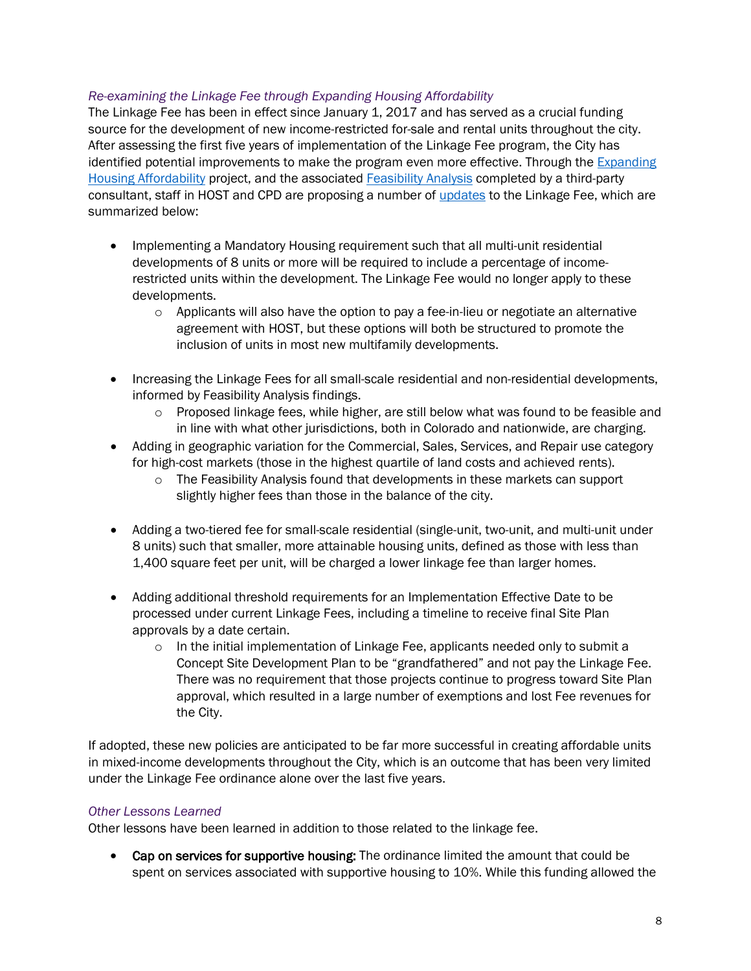#### *Re-examining the Linkage Fee through Expanding Housing Affordability*

The Linkage Fee has been in effect since January 1, 2017 and has served as a crucial funding source for the development of new income-restricted for-sale and rental units throughout the city. After assessing the first five years of implementation of the Linkage Fee program, the City has identified potential improvements to make the program even more effective. Through the [Expanding](https://www.denvergov.org/Government/Agencies-Departments-Offices/Community-Planning-and-Development/Denver-Zoning-Code/Text-Amendments/Affordable-Housing-Project)  [Housing Affordability](https://www.denvergov.org/Government/Agencies-Departments-Offices/Community-Planning-and-Development/Denver-Zoning-Code/Text-Amendments/Affordable-Housing-Project) project, and the associated [Feasibility Analysis](https://www.denvergov.org/files/assets/public/community-planning-and-development/documents/zoning/text-amendments/housing-affordability/eha_feasibility_analysis.pdf) completed by a third-party consultant, staff in HOST and CPD are proposing a number of [updates](https://www.denvergov.org/files/assets/public/community-planning-and-development/documents/zoning/text-amendments/housing-affordability/eha_proposed_policy_approach.pdf) to the Linkage Fee, which are summarized below:

- Implementing a Mandatory Housing requirement such that all multi-unit residential developments of 8 units or more will be required to include a percentage of incomerestricted units within the development. The Linkage Fee would no longer apply to these developments.
	- $\circ$  Applicants will also have the option to pay a fee-in-lieu or negotiate an alternative agreement with HOST, but these options will both be structured to promote the inclusion of units in most new multifamily developments.
- Increasing the Linkage Fees for all small-scale residential and non-residential developments, informed by Feasibility Analysis findings.
	- o Proposed linkage fees, while higher, are still below what was found to be feasible and in line with what other jurisdictions, both in Colorado and nationwide, are charging.
- Adding in geographic variation for the Commercial, Sales, Services, and Repair use category for high-cost markets (those in the highest quartile of land costs and achieved rents).
	- $\circ$  The Feasibility Analysis found that developments in these markets can support slightly higher fees than those in the balance of the city.
- Adding a two-tiered fee for small-scale residential (single-unit, two-unit, and multi-unit under 8 units) such that smaller, more attainable housing units, defined as those with less than 1,400 square feet per unit, will be charged a lower linkage fee than larger homes.
- Adding additional threshold requirements for an Implementation Effective Date to be processed under current Linkage Fees, including a timeline to receive final Site Plan approvals by a date certain.
	- $\circ$  In the initial implementation of Linkage Fee, applicants needed only to submit a Concept Site Development Plan to be "grandfathered" and not pay the Linkage Fee. There was no requirement that those projects continue to progress toward Site Plan approval, which resulted in a large number of exemptions and lost Fee revenues for the City.

If adopted, these new policies are anticipated to be far more successful in creating affordable units in mixed-income developments throughout the City, which is an outcome that has been very limited under the Linkage Fee ordinance alone over the last five years.

#### *Other Lessons Learned*

Other lessons have been learned in addition to those related to the linkage fee.

• Cap on services for supportive housing: The ordinance limited the amount that could be spent on services associated with supportive housing to 10%. While this funding allowed the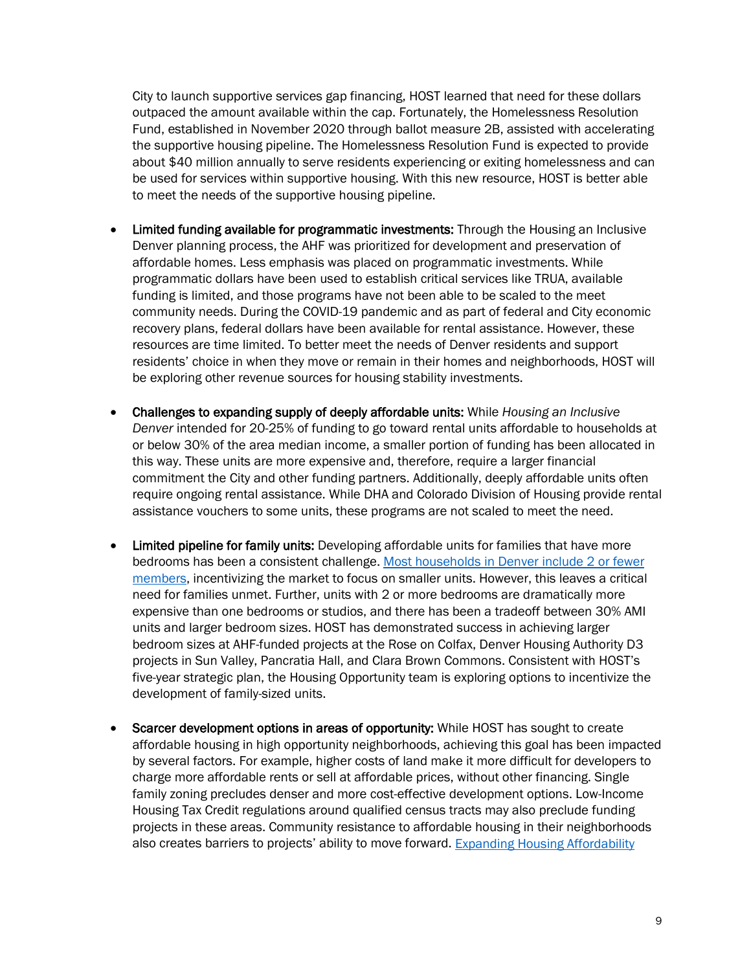City to launch supportive services gap financing, HOST learned that need for these dollars outpaced the amount available within the cap. Fortunately, the Homelessness Resolution Fund, established in November 2020 through ballot measure 2B, assisted with accelerating the supportive housing pipeline. The Homelessness Resolution Fund is expected to provide about \$40 million annually to serve residents experiencing or exiting homelessness and can be used for services within supportive housing. With this new resource, HOST is better able to meet the needs of the supportive housing pipeline.

- Limited funding available for programmatic investments: Through the Housing an Inclusive Denver planning process, the AHF was prioritized for development and preservation of affordable homes. Less emphasis was placed on programmatic investments. While programmatic dollars have been used to establish critical services like TRUA, available funding is limited, and those programs have not been able to be scaled to the meet community needs. During the COVID-19 pandemic and as part of federal and City economic recovery plans, federal dollars have been available for rental assistance. However, these resources are time limited. To better meet the needs of Denver residents and support residents' choice in when they move or remain in their homes and neighborhoods, HOST will be exploring other revenue sources for housing stability investments.
- Challenges to expanding supply of deeply affordable units: While *Housing an Inclusive Denver* intended for 20-25% of funding to go toward rental units affordable to households at or below 30% of the area median income, a smaller portion of funding has been allocated in this way. These units are more expensive and, therefore, require a larger financial commitment the City and other funding partners. Additionally, deeply affordable units often require ongoing rental assistance. While DHA and Colorado Division of Housing provide rental assistance vouchers to some units, these programs are not scaled to meet the need.
- Limited pipeline for family units: Developing affordable units for families that have more bedrooms has been a consistent challenge[. Most households in Denver include 2 or fewer](https://denvergov.org/files/assets/public/housing-stability/documents/new-folder/five_year_strategic_plan_final_091321.pdf)  [members,](https://denvergov.org/files/assets/public/housing-stability/documents/new-folder/five_year_strategic_plan_final_091321.pdf) incentivizing the market to focus on smaller units. However, this leaves a critical need for families unmet. Further, units with 2 or more bedrooms are dramatically more expensive than one bedrooms or studios, and there has been a tradeoff between 30% AMI units and larger bedroom sizes. HOST has demonstrated success in achieving larger bedroom sizes at AHF-funded projects at the Rose on Colfax, Denver Housing Authority D3 projects in Sun Valley, Pancratia Hall, and Clara Brown Commons. Consistent with HOST's five-year strategic plan, the Housing Opportunity team is exploring options to incentivize the development of family-sized units.
- Scarcer development options in areas of opportunity: While HOST has sought to create affordable housing in high opportunity neighborhoods, achieving this goal has been impacted by several factors. For example, higher costs of land make it more difficult for developers to charge more affordable rents or sell at affordable prices, without other financing. Single family zoning precludes denser and more cost-effective development options. Low-Income Housing Tax Credit regulations around qualified census tracts may also preclude funding projects in these areas. Community resistance to affordable housing in their neighborhoods also creates barriers to projects' ability to move forward. [Expanding Housing Affordability](https://www.denvergov.org/Government/Agencies-Departments-Offices/Agencies-Departments-Offices-Directory/Community-Planning-and-Development/Denver-Zoning-Code/Text-Amendments/Affordable-Housing-Project)